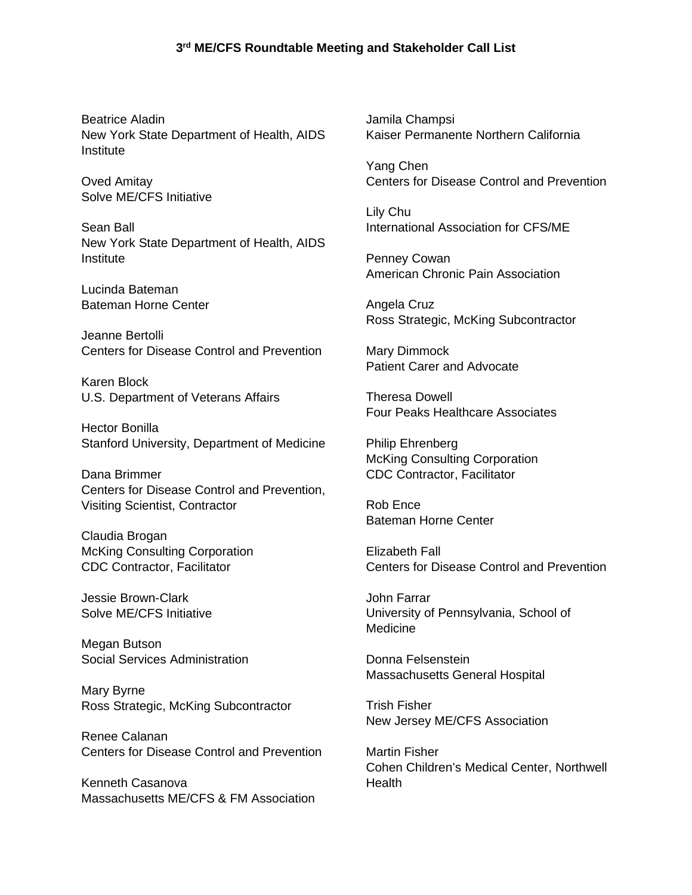Beatrice Aladin New York State Department of Health, AIDS **Institute** 

Oved Amitay Solve ME/CFS Initiative

Sean Ball New York State Department of Health, AIDS Institute

Lucinda Bateman Bateman Horne Center

Jeanne Bertolli Centers for Disease Control and Prevention

Karen Block U.S. Department of Veterans Affairs

Hector Bonilla Stanford University, Department of Medicine

Dana Brimmer Centers for Disease Control and Prevention, Visiting Scientist, Contractor

Claudia Brogan McKing Consulting Corporation CDC Contractor, Facilitator

Jessie Brown-Clark Solve ME/CFS Initiative

Megan Butson Social Services Administration

Mary Byrne Ross Strategic, McKing Subcontractor

Renee Calanan Centers for Disease Control and Prevention

Kenneth Casanova Massachusetts ME/CFS & FM Association Jamila Champsi Kaiser Permanente Northern California

Yang Chen Centers for Disease Control and Prevention

Lily Chu International Association for CFS/ME

Penney Cowan American Chronic Pain Association

Angela Cruz Ross Strategic, McKing Subcontractor

Mary Dimmock Patient Carer and Advocate

Theresa Dowell Four Peaks Healthcare Associates

Philip Ehrenberg McKing Consulting Corporation CDC Contractor, Facilitator

Rob Ence Bateman Horne Center

Elizabeth Fall Centers for Disease Control and Prevention

John Farrar University of Pennsylvania, School of Medicine

Donna Felsenstein Massachusetts General Hospital

Trish Fisher New Jersey ME/CFS Association

Martin Fisher Cohen Children's Medical Center, Northwell **Health**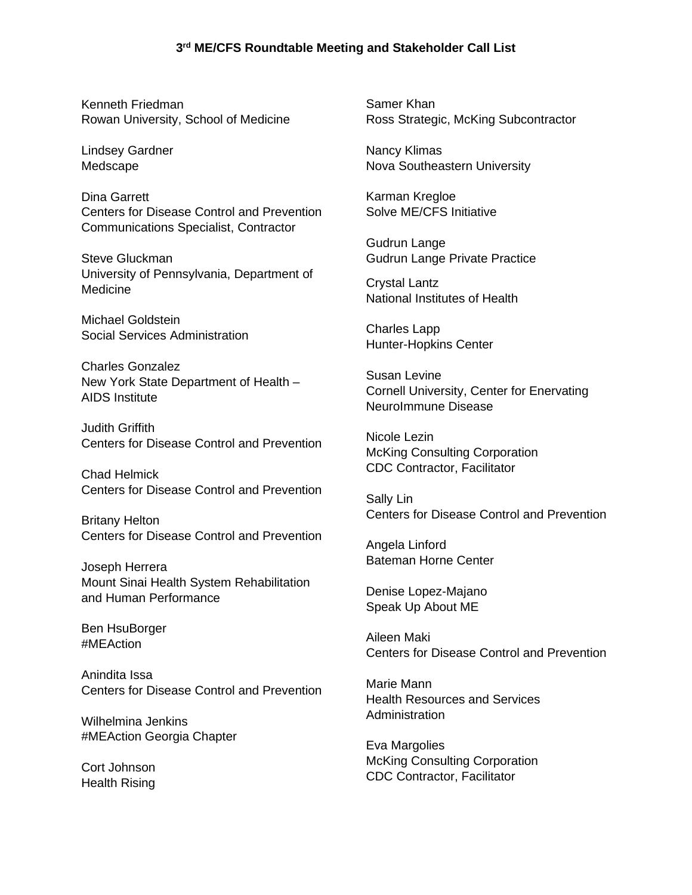Kenneth Friedman Rowan University, School of Medicine

Lindsey Gardner Medscape

Dina Garrett Centers for Disease Control and Prevention Communications Specialist, Contractor

Steve Gluckman University of Pennsylvania, Department of Medicine

Michael Goldstein Social Services Administration

Charles Gonzalez New York State Department of Health – AIDS Institute

Judith Griffith Centers for Disease Control and Prevention

Chad Helmick Centers for Disease Control and Prevention

Britany Helton Centers for Disease Control and Prevention

Joseph Herrera Mount Sinai Health System Rehabilitation and Human Performance

Ben HsuBorger #MEAction

Anindita Issa Centers for Disease Control and Prevention

Wilhelmina Jenkins #MEAction Georgia Chapter

Cort Johnson Health Rising

Samer Khan Ross Strategic, McKing Subcontractor

Nancy Klimas Nova Southeastern University

Karman Kregloe Solve ME/CFS Initiative

Gudrun Lange Gudrun Lange Private Practice

Crystal Lantz National Institutes of Health

Charles Lapp Hunter-Hopkins Center

Susan Levine Cornell University, Center for Enervating NeuroImmune Disease

Nicole Lezin McKing Consulting Corporation CDC Contractor, Facilitator

Sally Lin Centers for Disease Control and Prevention

Angela Linford Bateman Horne Center

Denise Lopez-Majano Speak Up About ME

Aileen Maki Centers for Disease Control and Prevention

Marie Mann Health Resources and Services Administration

Eva Margolies McKing Consulting Corporation CDC Contractor, Facilitator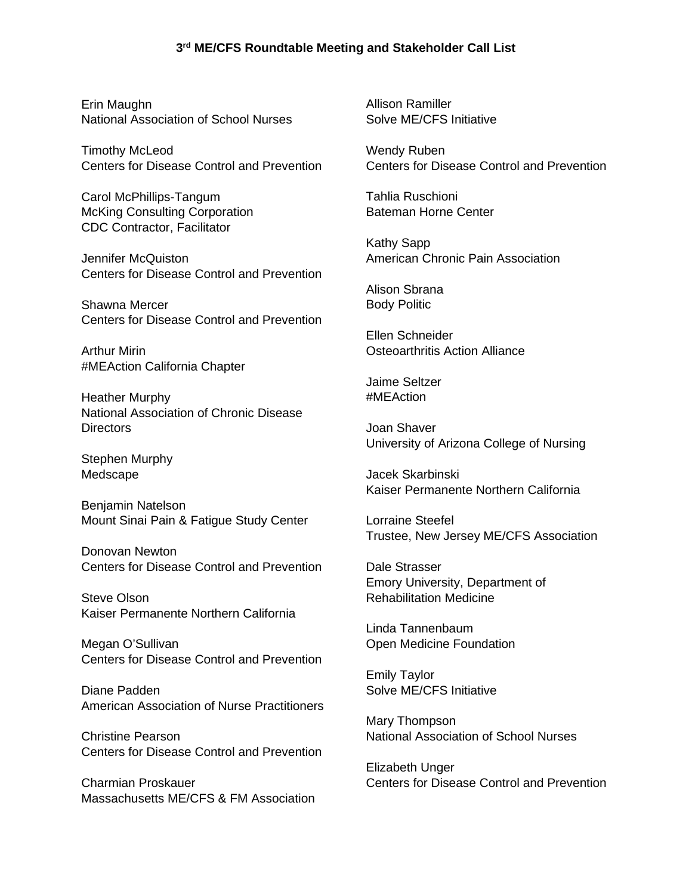Erin Maughn National Association of School Nurses

Timothy McLeod Centers for Disease Control and Prevention

Carol McPhillips-Tangum McKing Consulting Corporation CDC Contractor, Facilitator

Jennifer McQuiston Centers for Disease Control and Prevention

Shawna Mercer Centers for Disease Control and Prevention

Arthur Mirin #MEAction California Chapter

Heather Murphy National Association of Chronic Disease Directors

Stephen Murphy Medscape

Benjamin Natelson Mount Sinai Pain & Fatigue Study Center

Donovan Newton Centers for Disease Control and Prevention

Steve Olson Kaiser Permanente Northern California

Megan O'Sullivan Centers for Disease Control and Prevention

Diane Padden American Association of Nurse Practitioners

Christine Pearson Centers for Disease Control and Prevention

Charmian Proskauer Massachusetts ME/CFS & FM Association Allison Ramiller Solve ME/CFS Initiative

Wendy Ruben Centers for Disease Control and Prevention

Tahlia Ruschioni Bateman Horne Center

Kathy Sapp American Chronic Pain Association

Alison Sbrana Body Politic

Ellen Schneider Osteoarthritis Action Alliance

Jaime Seltzer #MEAction

Joan Shaver University of Arizona College of Nursing

Jacek Skarbinski Kaiser Permanente Northern California

Lorraine Steefel Trustee, New Jersey ME/CFS Association

Dale Strasser Emory University, Department of Rehabilitation Medicine

Linda Tannenbaum Open Medicine Foundation

Emily Taylor Solve ME/CFS Initiative

Mary Thompson National Association of School Nurses

Elizabeth Unger Centers for Disease Control and Prevention